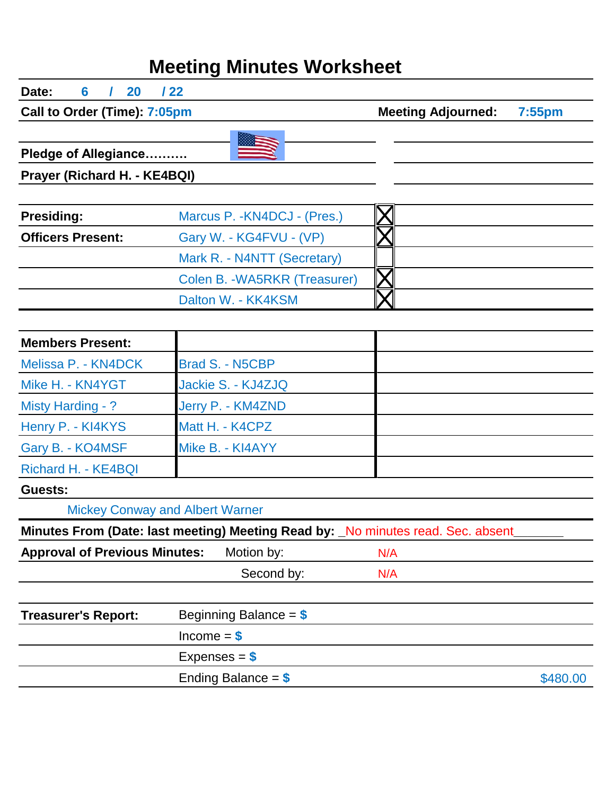## **Meeting Minutes Worksheet**

| Date:<br>20<br>6                     | 122                                                                             |                           |           |
|--------------------------------------|---------------------------------------------------------------------------------|---------------------------|-----------|
| Call to Order (Time): 7:05pm         |                                                                                 | <b>Meeting Adjourned:</b> | $7:55$ pm |
|                                      |                                                                                 |                           |           |
| Pledge of Allegiance                 |                                                                                 |                           |           |
| Prayer (Richard H. - KE4BQI)         |                                                                                 |                           |           |
|                                      |                                                                                 |                           |           |
| <b>Presiding:</b>                    | Marcus P. - KN4DCJ - (Pres.)                                                    |                           |           |
| <b>Officers Present:</b>             | Gary W. - KG4FVU - (VP)                                                         |                           |           |
|                                      | Mark R. - N4NTT (Secretary)                                                     |                           |           |
|                                      | Colen B. - WA5RKR (Treasurer)                                                   |                           |           |
|                                      | Dalton W. - KK4KSM                                                              |                           |           |
|                                      |                                                                                 |                           |           |
| <b>Members Present:</b>              |                                                                                 |                           |           |
| Melissa P. - KN4DCK                  | <b>Brad S. - N5CBP</b>                                                          |                           |           |
| Mike H. - KN4YGT                     | Jackie S. - KJ4ZJQ                                                              |                           |           |
| Misty Harding - ?                    | Jerry P. - KM4ZND                                                               |                           |           |
| Henry P. - KI4KYS                    | Matt H. - K4CPZ                                                                 |                           |           |
| Gary B. - KO4MSF                     | Mike B. - KI4AYY                                                                |                           |           |
| Richard H. - KE4BQI                  |                                                                                 |                           |           |
| Guests:                              |                                                                                 |                           |           |
|                                      | <b>Mickey Conway and Albert Warner</b>                                          |                           |           |
|                                      | Minutes From (Date: last meeting) Meeting Read by: No minutes read. Sec. absent |                           |           |
| <b>Approval of Previous Minutes:</b> | Motion by:                                                                      | N/A                       |           |
|                                      | Second by:                                                                      | N/A                       |           |
|                                      |                                                                                 |                           |           |
| <b>Treasurer's Report:</b>           | Beginning Balance = $$$                                                         |                           |           |
|                                      | $lncome = $$                                                                    |                           |           |
|                                      | Expenses = $$$                                                                  |                           |           |
|                                      | Ending Balance = $$$                                                            |                           | \$480.00  |